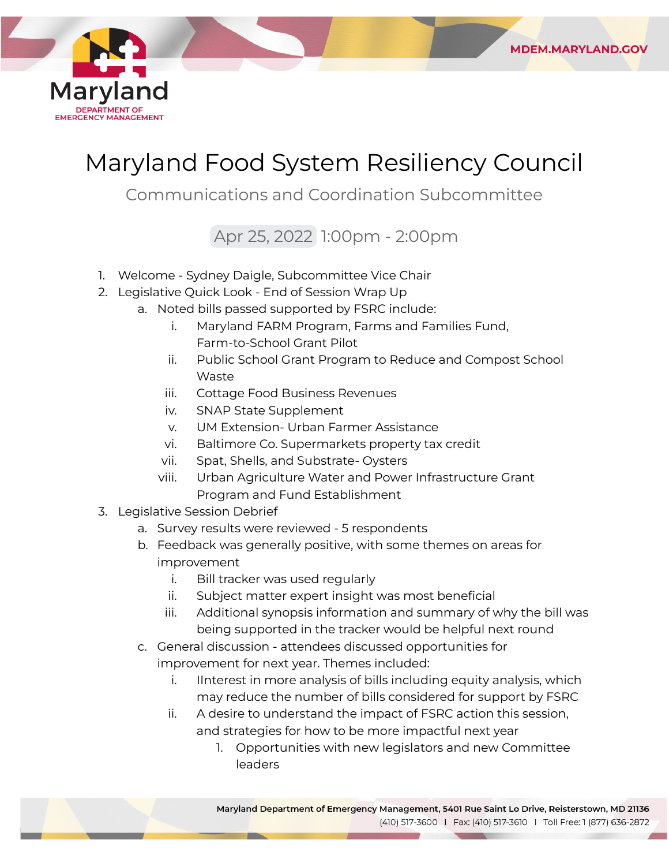

## Maryland Food System Resiliency Council

**MDEM.MARYLAND.GOV** 

Communications and Coordination Subcommittee

Apr 25, 2022 1:00pm - 2:00pm

- 1. Welcome Sydney Daigle, Subcommittee Vice Chair
- 2. Legislative Quick Look End of Session Wrap Up
	- a. Noted bills passed supported by FSRC include:
		- i. Maryland FARM Program, Farms and Families Fund, Farm-to-School Grant Pilot
		- ii. Public School Grant Program to Reduce and Compost School Waste
		- iii. Cottage Food Business Revenues
		- iv. SNAP State Supplement
		- v. UM Extension- Urban Farmer Assistance
		- vi. Baltimore Co. Supermarkets property tax credit
		- vii. Spat, Shells, and Substrate- Oysters
		- viii. Urban Agriculture Water and Power Infrastructure Grant Program and Fund Establishment
- 3. Legislative Session Debrief
	- a. Survey results were reviewed 5 respondents
	- b. Feedback was generally positive, with some themes on areas for improvement
		- i. Bill tracker was used regularly
		- ii. Subject matter expert insight was most beneficial
		- iii. Additional synopsis information and summary of why the bill was being supported in the tracker would be helpful next round
	- c. General discussion attendees discussed opportunities for improvement for next year. Themes included:
		- i. IInterest in more analysis of bills including equity analysis, which may reduce the number of bills considered for support by FSRC
		- ii. A desire to understand the impact of FSRC action this session, and strategies for how to be more impactful next year
			- 1. Opportunities with new legislators and new Committee leaders